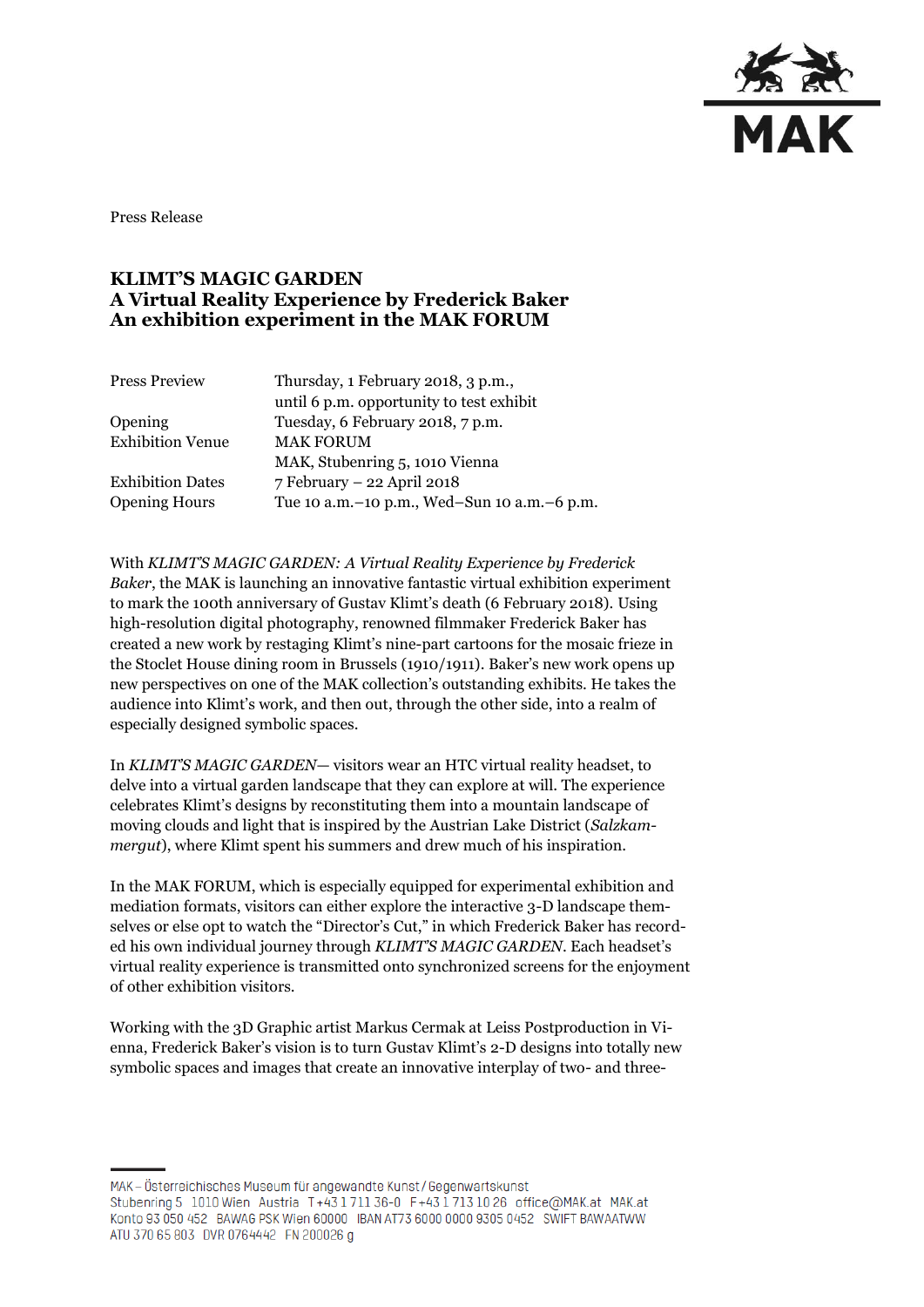

Press Release

# **KLIMT'S MAGIC GARDEN A Virtual Reality Experience by Frederick Baker An exhibition experiment in the MAK FORUM**

| <b>Press Preview</b>    | Thursday, 1 February 2018, 3 p.m.,          |
|-------------------------|---------------------------------------------|
|                         | until 6 p.m. opportunity to test exhibit    |
| Opening                 | Tuesday, 6 February 2018, 7 p.m.            |
| <b>Exhibition Venue</b> | <b>MAK FORUM</b>                            |
|                         | MAK, Stubenring 5, 1010 Vienna              |
| <b>Exhibition Dates</b> | 7 February - 22 April 2018                  |
| <b>Opening Hours</b>    | Tue 10 a.m.-10 p.m., Wed-Sun 10 a.m.-6 p.m. |

With *KLIMT'S MAGIC GARDEN: A Virtual Reality Experience by Frederick Baker*, the MAK is launching an innovative fantastic virtual exhibition experiment to mark the 100th anniversary of Gustav Klimt's death (6 February 2018). Using high-resolution digital photography, renowned filmmaker Frederick Baker has created a new work by restaging Klimt's nine-part cartoons for the mosaic frieze in the Stoclet House dining room in Brussels (1910/1911). Baker's new work opens up new perspectives on one of the MAK collection's outstanding exhibits. He takes the audience into Klimt's work, and then out, through the other side, into a realm of especially designed symbolic spaces.

In *KLIMT'S MAGIC GARDEN*— visitors wear an HTC virtual reality headset, to delve into a virtual garden landscape that they can explore at will. The experience celebrates Klimt's designs by reconstituting them into a mountain landscape of moving clouds and light that is inspired by the Austrian Lake District (*Salzkammergut*), where Klimt spent his summers and drew much of his inspiration.

In the MAK FORUM, which is especially equipped for experimental exhibition and mediation formats, visitors can either explore the interactive 3-D landscape themselves or else opt to watch the "Director's Cut," in which Frederick Baker has recorded his own individual journey through *KLIMT'S MAGIC GARDEN*. Each headset's virtual reality experience is transmitted onto synchronized screens for the enjoyment of other exhibition visitors.

Working with the 3D Graphic artist Markus Cermak at Leiss Postproduction in Vienna, Frederick Baker's vision is to turn Gustav Klimt's 2-D designs into totally new symbolic spaces and images that create an innovative interplay of two- and three-

MAK – Österreichisches Museum für angewandte Kunst/Gegenwartskunst Stubenring 5 1010 Wien Austria T+43 1 711 36-0 F+43 1 713 10 26 office@MAK.at MAK.at Konto 93 050 452 BAWAG PSK Wien 60000 IBAN AT73 6000 0000 9305 0452 SWIFT BAWAATWW ATU 370 65 803 DVR 0764442 FN 200026 g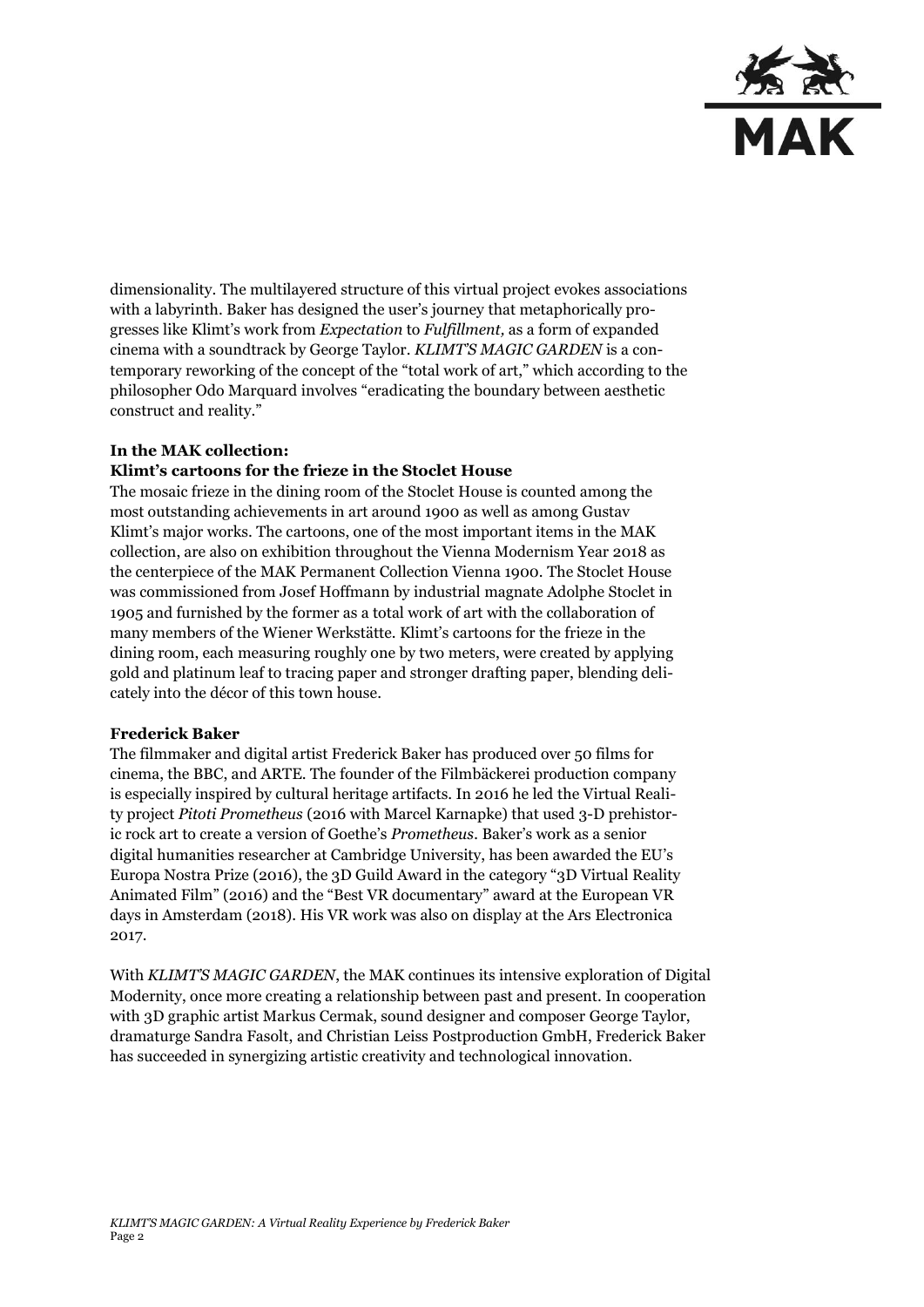

dimensionality. The multilayered structure of this virtual project evokes associations with a labyrinth. Baker has designed the user's journey that metaphorically progresses like Klimt's work from *Expectation* to *Fulfillment,* as a form of expanded cinema with a soundtrack by George Taylor. *KLIMT'S MAGIC GARDEN* is a contemporary reworking of the concept of the "total work of art," which according to the philosopher Odo Marquard involves "eradicating the boundary between aesthetic construct and reality."

### **In the MAK collection:**

## **Klimt's cartoons for the frieze in the Stoclet House**

The mosaic frieze in the dining room of the Stoclet House is counted among the most outstanding achievements in art around 1900 as well as among Gustav Klimt's major works. The cartoons, one of the most important items in the MAK collection, are also on exhibition throughout the Vienna Modernism Year 2018 as the centerpiece of the MAK Permanent Collection Vienna 1900. The Stoclet House was commissioned from Josef Hoffmann by industrial magnate Adolphe Stoclet in 1905 and furnished by the former as a total work of art with the collaboration of many members of the Wiener Werkstätte. Klimt's cartoons for the frieze in the dining room, each measuring roughly one by two meters, were created by applying gold and platinum leaf to tracing paper and stronger drafting paper, blending delicately into the décor of this town house.

### **Frederick Baker**

The filmmaker and digital artist Frederick Baker has produced over 50 films for cinema, the BBC, and ARTE. The founder of the Filmbäckerei production company is especially inspired by cultural heritage artifacts. In 2016 he led the Virtual Reality project *Pitoti Prometheus* (2016 with Marcel Karnapke) that used 3-D prehistoric rock art to create a version of Goethe's *Prometheus.* Baker's work as a senior digital humanities researcher at Cambridge University, has been awarded the EU's Europa Nostra Prize (2016), the 3D Guild Award in the category "3D Virtual Reality Animated Film" (2016) and the "Best VR documentary" award at the European VR days in Amsterdam (2018). His VR work was also on display at the Ars Electronica 2017.

With *KLIMT'S MAGIC GARDEN*, the MAK continues its intensive exploration of Digital Modernity, once more creating a relationship between past and present. In cooperation with 3D graphic artist Markus Cermak, sound designer and composer George Taylor, dramaturge Sandra Fasolt, and Christian Leiss Postproduction GmbH, Frederick Baker has succeeded in synergizing artistic creativity and technological innovation.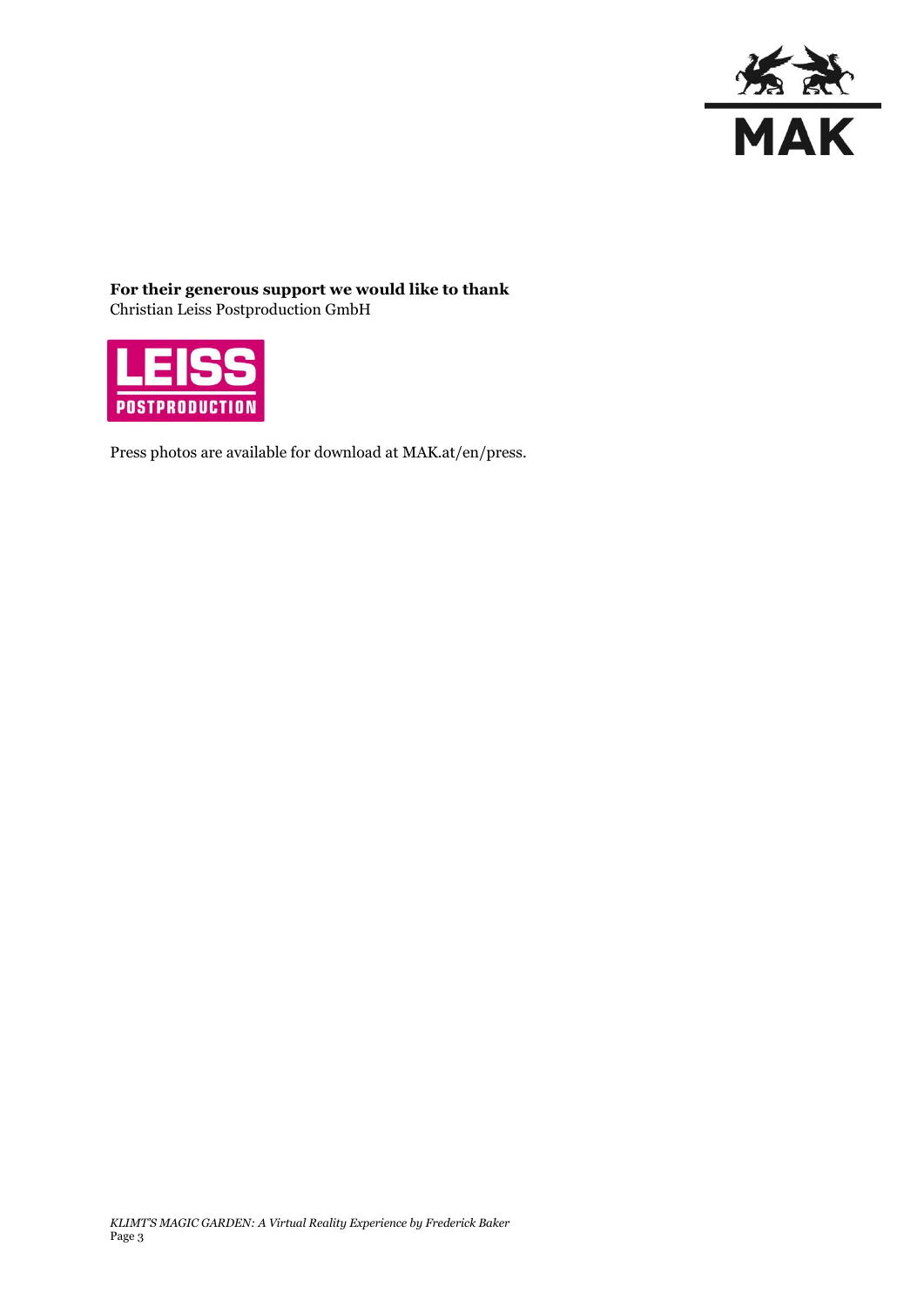

**For their generous support we would like to thank** Christian Leiss Postproduction GmbH



Press photos are available for download at MAK.at/en/press.